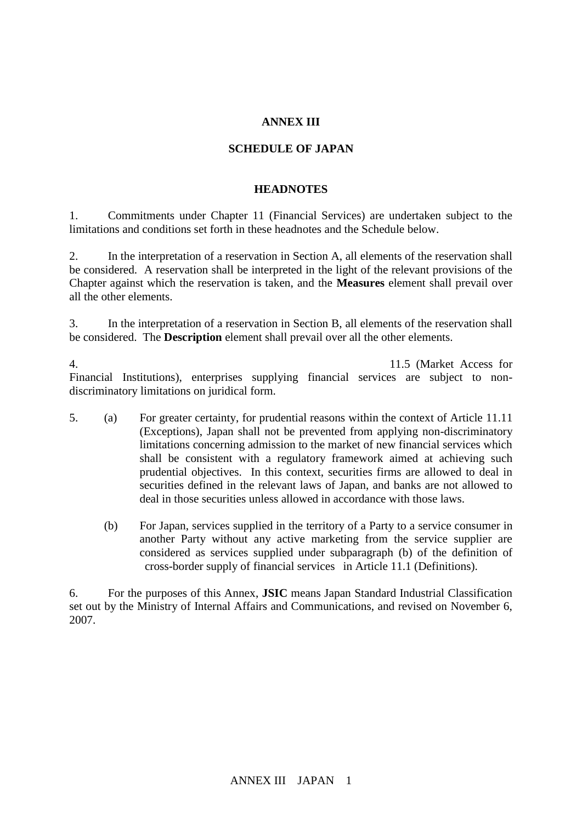### **ANNEX III**

#### **SCHEDULE OF JAPAN**

#### **HEADNOTES**

1. Commitments under Chapter 11 (Financial Services) are undertaken subject to the limitations and conditions set forth in these headnotes and the Schedule below.

2. In the interpretation of a reservation in Section A, all elements of the reservation shall be considered. A reservation shall be interpreted in the light of the relevant provisions of the Chapter against which the reservation is taken, and the **Measures** element shall prevail over all the other elements.

3. In the interpretation of a reservation in Section B, all elements of the reservation shall be considered. The **Description** element shall prevail over all the other elements.

4. The commitment with respect to  $11.5$  (Market Access for Financial Institutions), enterprises supplying financial services are subject to nondiscriminatory limitations on juridical form.

- 5. (a) For greater certainty, for prudential reasons within the context of Article 11.11 (Exceptions), Japan shall not be prevented from applying non-discriminatory limitations concerning admission to the market of new financial services which shall be consistent with a regulatory framework aimed at achieving such prudential objectives. In this context, securities firms are allowed to deal in securities defined in the relevant laws of Japan, and banks are not allowed to deal in those securities unless allowed in accordance with those laws.
	- (b) For Japan, services supplied in the territory of a Party to a service consumer in another Party without any active marketing from the service supplier are considered as services supplied under subparagraph (b) of the definition of cross-border supply of financial services in Article 11.1 (Definitions).

6. For the purposes of this Annex, **JSIC** means Japan Standard Industrial Classification set out by the Ministry of Internal Affairs and Communications, and revised on November 6, 2007.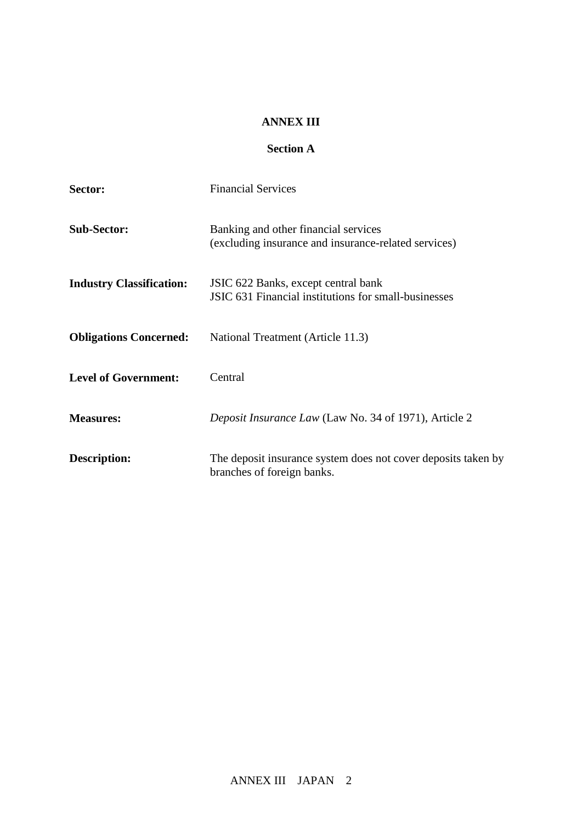#### **ANNEX III**

# **Section A**

| Sector:                         | <b>Financial Services</b>                                                                    |
|---------------------------------|----------------------------------------------------------------------------------------------|
| <b>Sub-Sector:</b>              | Banking and other financial services<br>(excluding insurance and insurance-related services) |
| <b>Industry Classification:</b> | JSIC 622 Banks, except central bank<br>JSIC 631 Financial institutions for small-businesses  |
| <b>Obligations Concerned:</b>   | National Treatment (Article 11.3)                                                            |
| <b>Level of Government:</b>     | Central                                                                                      |
| <b>Measures:</b>                | Deposit Insurance Law (Law No. 34 of 1971), Article 2                                        |
| <b>Description:</b>             | The deposit insurance system does not cover deposits taken by<br>branches of foreign banks.  |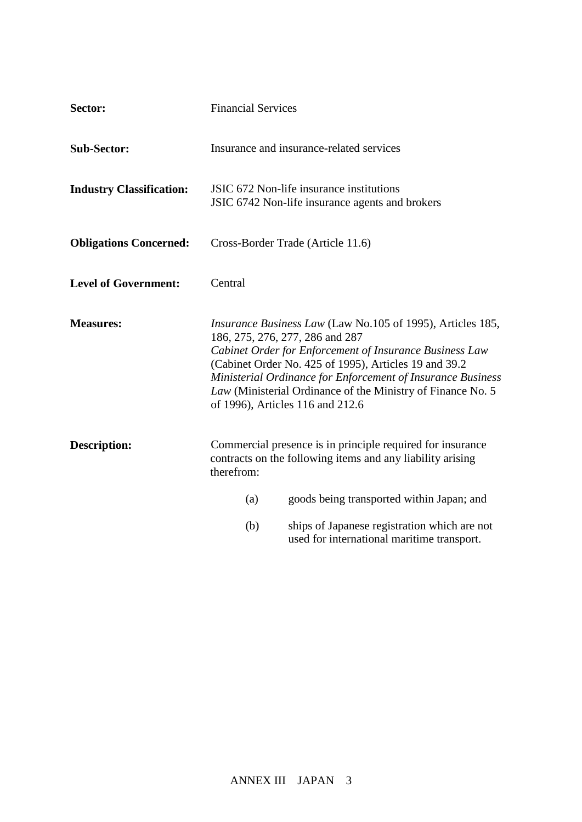| Sector:                         | <b>Financial Services</b> |                                                                                                                                                                                                                                                                                                                                                                                            |
|---------------------------------|---------------------------|--------------------------------------------------------------------------------------------------------------------------------------------------------------------------------------------------------------------------------------------------------------------------------------------------------------------------------------------------------------------------------------------|
| <b>Sub-Sector:</b>              |                           | Insurance and insurance-related services                                                                                                                                                                                                                                                                                                                                                   |
| <b>Industry Classification:</b> |                           | JSIC 672 Non-life insurance institutions<br>JSIC 6742 Non-life insurance agents and brokers                                                                                                                                                                                                                                                                                                |
| <b>Obligations Concerned:</b>   |                           | Cross-Border Trade (Article 11.6)                                                                                                                                                                                                                                                                                                                                                          |
| <b>Level of Government:</b>     | Central                   |                                                                                                                                                                                                                                                                                                                                                                                            |
| <b>Measures:</b>                |                           | <i>Insurance Business Law</i> (Law No.105 of 1995), Articles 185,<br>186, 275, 276, 277, 286 and 287<br>Cabinet Order for Enforcement of Insurance Business Law<br>(Cabinet Order No. 425 of 1995), Articles 19 and 39.2<br>Ministerial Ordinance for Enforcement of Insurance Business<br>Law (Ministerial Ordinance of the Ministry of Finance No. 5<br>of 1996), Articles 116 and 212.6 |
| <b>Description:</b>             | therefrom:                | Commercial presence is in principle required for insurance<br>contracts on the following items and any liability arising                                                                                                                                                                                                                                                                   |
|                                 | (a)                       | goods being transported within Japan; and                                                                                                                                                                                                                                                                                                                                                  |
|                                 | (b)                       | ships of Japanese registration which are not<br>used for international maritime transport.                                                                                                                                                                                                                                                                                                 |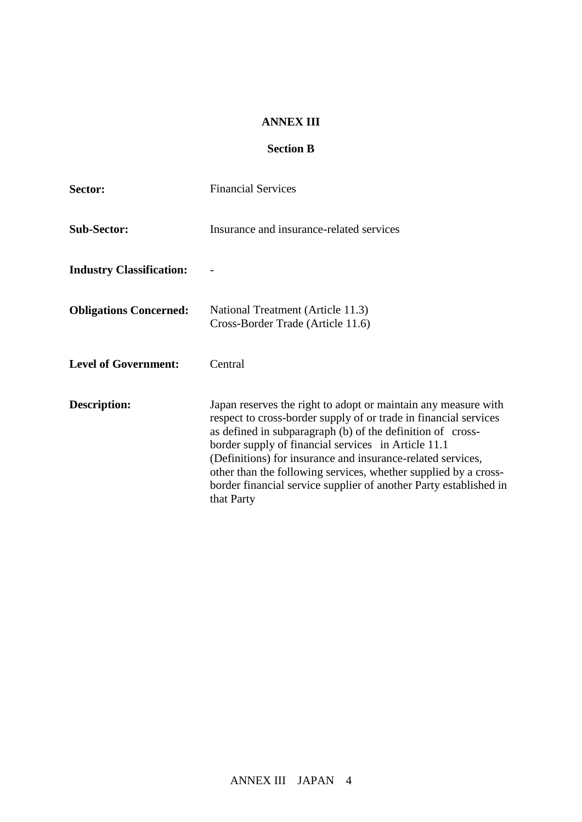#### **ANNEX III**

## **Section B**

| Sector:                         | <b>Financial Services</b>                                                                                                                                                                                                                                                                                                                                                                                                                                                    |  |
|---------------------------------|------------------------------------------------------------------------------------------------------------------------------------------------------------------------------------------------------------------------------------------------------------------------------------------------------------------------------------------------------------------------------------------------------------------------------------------------------------------------------|--|
| <b>Sub-Sector:</b>              | Insurance and insurance-related services                                                                                                                                                                                                                                                                                                                                                                                                                                     |  |
| <b>Industry Classification:</b> | $\overline{\phantom{a}}$                                                                                                                                                                                                                                                                                                                                                                                                                                                     |  |
| <b>Obligations Concerned:</b>   | National Treatment (Article 11.3)<br>Cross-Border Trade((Article 11.6)                                                                                                                                                                                                                                                                                                                                                                                                       |  |
| <b>Level of Government:</b>     | Central                                                                                                                                                                                                                                                                                                                                                                                                                                                                      |  |
| <b>Description:</b>             | Japan reserves the right to adopt or maintain any measure with<br>respect to cross-border supply of or trade in financial services<br>as defined in subparagraph (b) of the definition of cross-<br>border supply of financial services in Article 11.1<br>(Definitions) for insurance and insurance-related services,<br>other than the following services, whether supplied by a cross-<br>border financial service supplier of another Party established in<br>that Party |  |